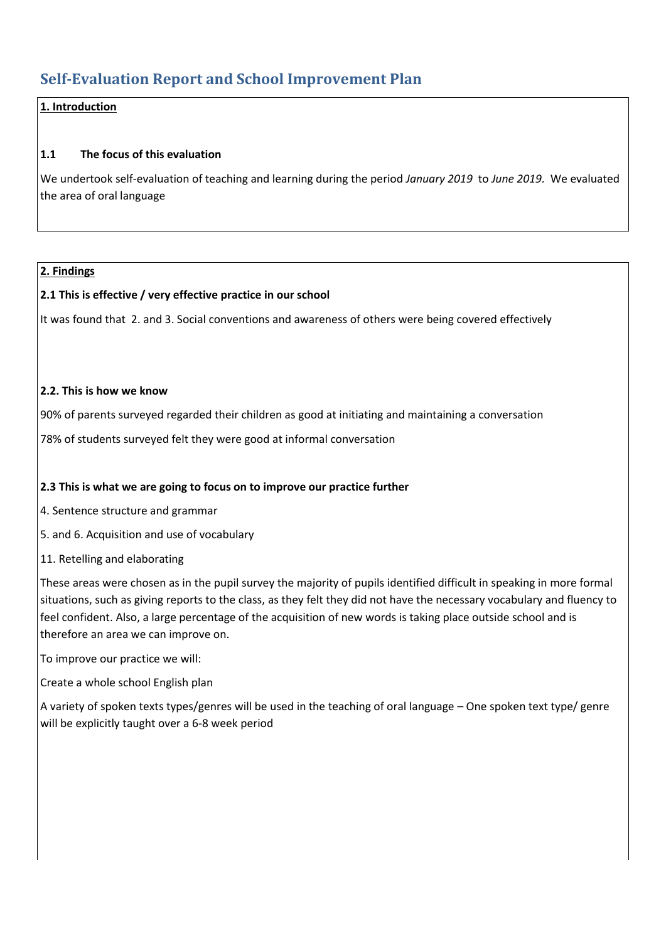# **Self-Evaluation Report and School Improvement Plan**

## **1. Introduction**

### **1.1 The focus of this evaluation**

We undertook self-evaluation of teaching and learning during the period *January 2019* to *June 2019.* We evaluated the area of oral language

### **2. Findings**

### **2.1 This is effective / very effective practice in our school**

It was found that [2. and 3. Social conventions and awareness of others](https://www.curriculumonline.ie/Primary/Curriculum-Areas/Language-New-Junior-infants-2nd-class/Progression-Continua-English-and-Irish/Oral-Language-Progression-Continuum/Progression-Steps?LearningOutcomeAnchor=1887#LearningOutcome2) were being covered effectively

#### **2.2. This is how we know**

90% of parents surveyed regarded their children as good at initiating and maintaining a conversation

78% of students surveyed felt they were good at informal conversation

### **2.3 This is what we are going to focus on to improve our practice further**

[4. Sentence structure and grammar](https://www.curriculumonline.ie/Primary/Curriculum-Areas/Language/Progression-Continua/Oral-Language-L1/Progression-Steps?goto=0#LearningOutcome3)

[5. and 6. Acquisition and use of vocabulary](https://www.curriculumonline.ie/Primary/Curriculum-Areas/Language/Progression-Continua/Oral-Language-L1/Progression-Steps?goto=0#LearningOutcome4)

[11. Retelling and elaborating](https://www.curriculumonline.ie/Primary/Curriculum-Areas/Language/Progression-Continua/Oral-Language-L1/Progression-Steps?goto=0#LearningOutcome8)

These areas were chosen as in the pupil survey the majority of pupils identified difficult in speaking in more formal situations, such as giving reports to the class, as they felt they did not have the necessary vocabulary and fluency to feel confident. Also, a large percentage of the acquisition of new words is taking place outside school and is therefore an area we can improve on.

To improve our practice we will:

Create a whole school English plan

A variety of spoken texts types/genres will be used in the teaching of oral language – One spoken text type/ genre will be explicitly taught over a 6-8 week period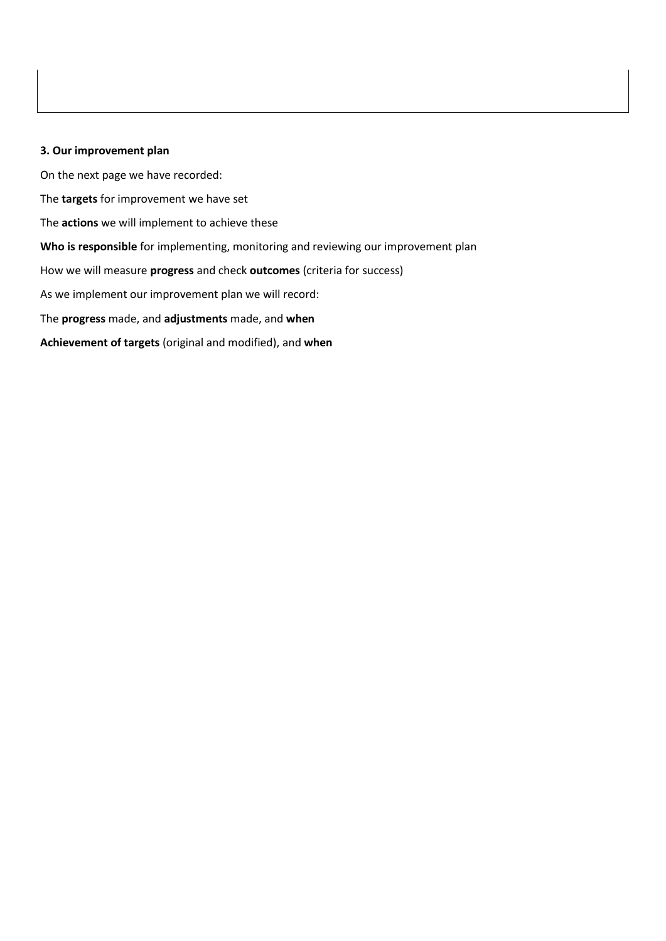#### **3. Our improvement plan**

On the next page we have recorded: The **targets** for improvement we have set The **actions** we will implement to achieve these **Who is responsible** for implementing, monitoring and reviewing our improvement plan How we will measure **progress** and check **outcomes** (criteria for success) As we implement our improvement plan we will record: The **progress** made, and **adjustments** made, and **when Achievement of targets** (original and modified), and **when**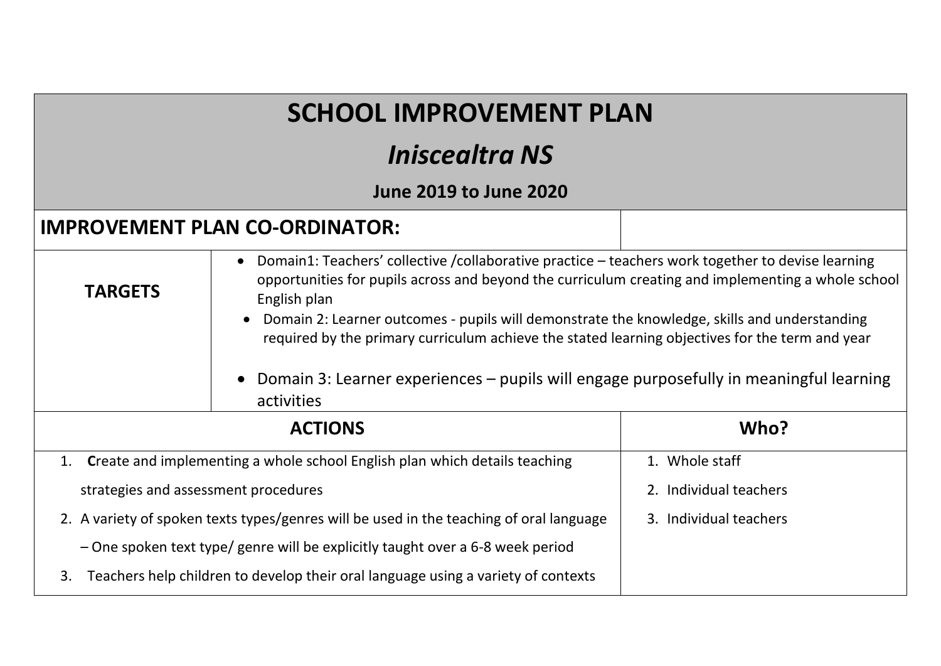| <b>SCHOOL IMPROVEMENT PLAN</b>                                                                                                                                                                                                                                                                                                                                                                                                                                                                                                                                     |                                                                                   |                        |  |  |  |  |
|--------------------------------------------------------------------------------------------------------------------------------------------------------------------------------------------------------------------------------------------------------------------------------------------------------------------------------------------------------------------------------------------------------------------------------------------------------------------------------------------------------------------------------------------------------------------|-----------------------------------------------------------------------------------|------------------------|--|--|--|--|
|                                                                                                                                                                                                                                                                                                                                                                                                                                                                                                                                                                    | <i><b>Iniscealtra NS</b></i>                                                      |                        |  |  |  |  |
| <b>June 2019 to June 2020</b>                                                                                                                                                                                                                                                                                                                                                                                                                                                                                                                                      |                                                                                   |                        |  |  |  |  |
|                                                                                                                                                                                                                                                                                                                                                                                                                                                                                                                                                                    | <b>IMPROVEMENT PLAN CO-ORDINATOR:</b>                                             |                        |  |  |  |  |
| Domain1: Teachers' collective / collaborative practice - teachers work together to devise learning<br>$\bullet$<br>opportunities for pupils across and beyond the curriculum creating and implementing a whole school<br><b>TARGETS</b><br>English plan<br>Domain 2: Learner outcomes - pupils will demonstrate the knowledge, skills and understanding<br>required by the primary curriculum achieve the stated learning objectives for the term and year<br>Domain 3: Learner experiences – pupils will engage purposefully in meaningful learning<br>activities |                                                                                   |                        |  |  |  |  |
| <b>ACTIONS</b>                                                                                                                                                                                                                                                                                                                                                                                                                                                                                                                                                     |                                                                                   | Who?                   |  |  |  |  |
| Create and implementing a whole school English plan which details teaching<br>1.                                                                                                                                                                                                                                                                                                                                                                                                                                                                                   |                                                                                   | 1. Whole staff         |  |  |  |  |
| strategies and assessment procedures                                                                                                                                                                                                                                                                                                                                                                                                                                                                                                                               |                                                                                   | 2. Individual teachers |  |  |  |  |
| 2. A variety of spoken texts types/genres will be used in the teaching of oral language                                                                                                                                                                                                                                                                                                                                                                                                                                                                            |                                                                                   | 3. Individual teachers |  |  |  |  |
|                                                                                                                                                                                                                                                                                                                                                                                                                                                                                                                                                                    | - One spoken text type/ genre will be explicitly taught over a 6-8 week period    |                        |  |  |  |  |
| 3.                                                                                                                                                                                                                                                                                                                                                                                                                                                                                                                                                                 | Teachers help children to develop their oral language using a variety of contexts |                        |  |  |  |  |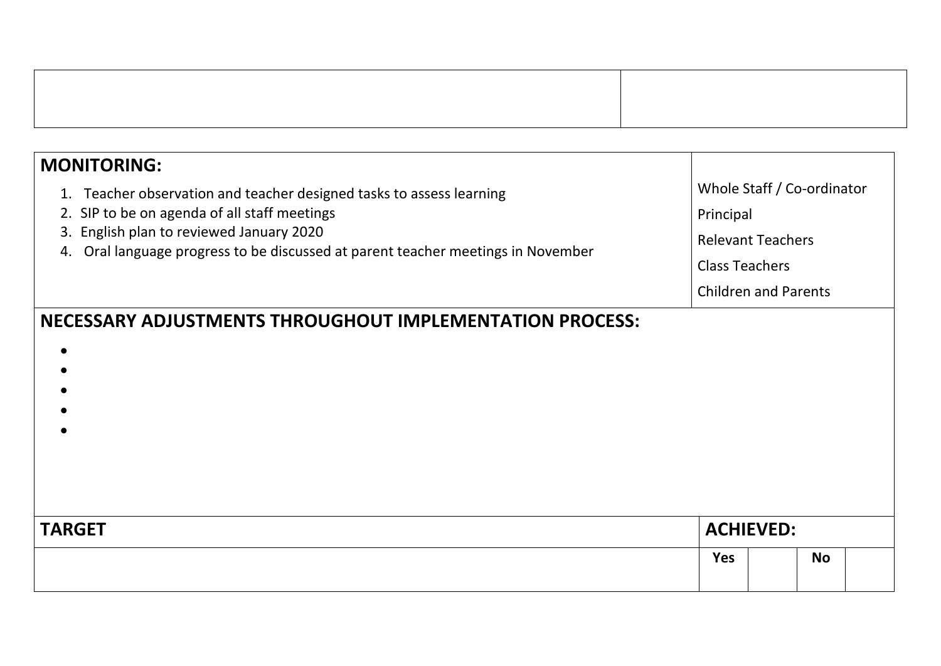| <b>MONITORING:</b>                                                                                                              |                            |                             |           |  |
|---------------------------------------------------------------------------------------------------------------------------------|----------------------------|-----------------------------|-----------|--|
| 1. Teacher observation and teacher designed tasks to assess learning<br>2. SIP to be on agenda of all staff meetings            | Whole Staff / Co-ordinator |                             |           |  |
|                                                                                                                                 | Principal                  |                             |           |  |
| 3. English plan to reviewed January 2020<br>Oral language progress to be discussed at parent teacher meetings in November<br>4. | <b>Relevant Teachers</b>   |                             |           |  |
|                                                                                                                                 | <b>Class Teachers</b>      |                             |           |  |
|                                                                                                                                 |                            | <b>Children and Parents</b> |           |  |
| NECESSARY ADJUSTMENTS THROUGHOUT IMPLEMENTATION PROCESS:                                                                        |                            |                             |           |  |
| <b>TARGET</b>                                                                                                                   | <b>ACHIEVED:</b>           |                             |           |  |
|                                                                                                                                 | <b>Yes</b>                 |                             | <b>No</b> |  |